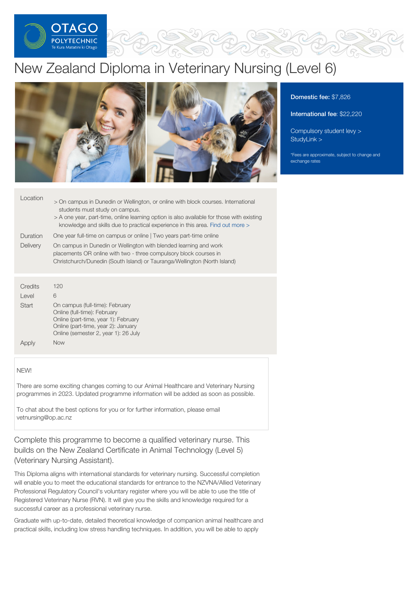

# New Zealand Diploma in Veterinary Nursing (Level 6)



## Location

- > On campus in Dunedin or Wellington, or online with block courses. International students must study on campus.
	- > A one year, part-time, online learning option is also available for those with existing knowledge and skills due to practical experience in this area. Find out [more](http://op.cwp.govt.nz/study/veterinary-nursing/veterinary-nursing-apl-pathway/) >
- Duration One year full-time on campus or online | Two years part-time online
- **Delivery** On campus in Dunedin or Wellington with blended learning and work placements OR online with two - three compulsory block courses in Christchurch/Dunedin (South Island) or Tauranga/Wellington (North Island)

| Credits<br>Level | 120<br>6                                                                                                                                                                               |
|------------------|----------------------------------------------------------------------------------------------------------------------------------------------------------------------------------------|
| Start            | On campus (full-time): February<br>Online (full-time): February<br>Online (part-time, year 1): February<br>Online (part-time, year 2): January<br>Online (semester 2, year 1): 26 July |
|                  | Now                                                                                                                                                                                    |

#### NEW!

There are some exciting changes coming to our Animal Healthcare and Veterinary Nursing programmes in 2023. Updated programme information will be added as soon as possible.

To chat about the best options for you or for further information, please email vetnursing@op.ac.nz

Complete this programme to become a qualified veterinary nurse. This builds on the New Zealand Certificate in Animal Technology (Level 5) (Veterinary Nursing Assistant).

This Diploma aligns with international standards for veterinary nursing. Successful completion will enable you to meet the educational standards for entrance to the NZVNA/Allied Veterinary Professional Regulatory Council's voluntary register where you will be able to use the title of Registered Veterinary Nurse (RVN). It will give you the skills and knowledge required for a successful career as a professional veterinary nurse.

Graduate with up-to-date, detailed theoretical knowledge of companion animal healthcare and practical skills, including low stress handling techniques. In addition, you will be able to apply

## Domestic fee: \$7,826

International fee: \$22,220

[Compulsory](https://online.op.ac.nz/students/important-information/student-services-levy/) student levy > [StudyLink](https://www.studylink.govt.nz/) >

\*Fees are approximate, subject to change and exchange rates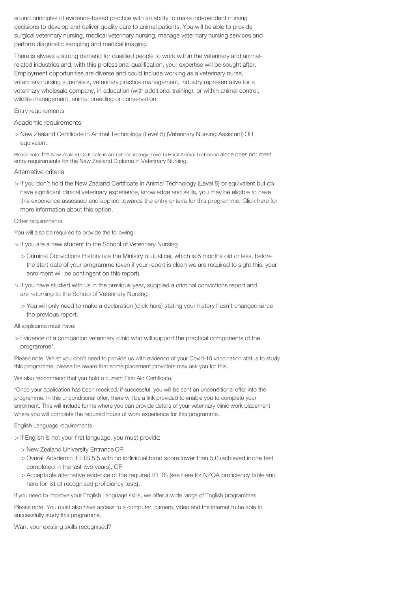sound principles of evidence-based practice with an ability to make independent nursing decisions to develop and deliver quality care to animal patients. You will be able to provide surgical veterinary nursing, medical veterinary nursing, manage veterinary nursing services and perform diagnostic sampling and medical imaging.

There is always a strong demand for qualified people to work within the veterinary and animalrelated industries and, with this professional qualification, your expertise will be sought after. Employment opportunities are diverse and could include working as a veterinary nurse, veterinary nursing supervisor, veterinary practice management, industry representative for a veterinary wholesale company, in education (with additional training), or within animal control, wildlife management, animal breeding or conservation.

Entry requirements

Academic requirements

> New Zealand Certificate in Animal Technology (Level 5) (Veterinary Nursing Assistant)OR equivalent.

Please note: the New Zealand Certificate in Animal Technology (Level 5) Rural Animal Technician alone does not meet entry requirements for the New Zealand Diploma in Veterinary Nursing.

Alternative criteria

> If you don't hold the New Zealand Certificate in Animal Technology (Level 5) or equivalent but do have significant clinical veterinary experience, knowledge and skills, you may be eligible to have this experience assessed and applied towards the entry criteria for this programme. Click here for more information about this option.

Other requirements

You will also be required to provide the following:

- > If you are a new student to the School of Veterinary Nursing
	- > Criminal Convictions History (via the Ministry of Justice), which is 6 months old or less, before the start date of your programme (even if your report is clean we are required to sight this, your enrolment will be contingent on this report).
- > If you have studied with us in the previous year, supplied a criminal convictions report and are returning to the School of Veterinary Nursing
	- > You will only need to make a declaration (click here) stating your history hasn't changed since the previous report.

All applicants must have:

> Evidence of a companion veterinary clinic who will support the practical components of the programme\*.

Please note: Whilst you don't need to provide us with evidence of your Covid-19 vaccination status to study this programme, please be aware that some placement providers may ask you for this.

We also recommend that you hold a current First Aid Certificate.

\*Once your application has been received, if successful, you will be sent an unconditional offer into the programme. In this unconditional offer, there will be a link provided to enable you to complete your enrolment. This will include forms where you can provide details of your veterinary clinic work placement where you will complete the required hours of work experience for this programme.

English Language requirements

> If English is not your first language, you must provide:

- > New Zealand University Entrance OR
- > Overall Academic IELTS 5.5 with no individual band score lower than 5.0 (achieved inone test completed in the last two years), OR
- > Acceptable alternative evidence of the required IELTS (see here for NZQA proficiency table and here for list of recognised proficiency tests).

If you need to improve your English Language skills, we offer a wide range of English programmes.

Please note: You must also have access to a computer, camera, video and the internet to be able to successfully study this programme.

Want your existing skills recognised?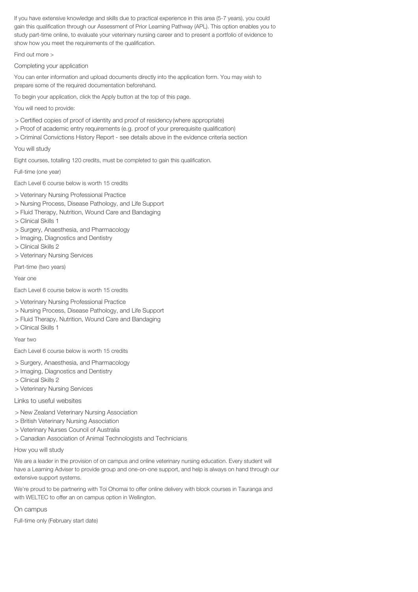If you have extensive knowledge and skills due to practical experience in this area (5-7 years), you could gain this qualification through our Assessment of Prior Learning Pathway (APL). This option enables you to study part-time online, to evaluate your veterinary nursing career and to present a portfolio of evidence to show how you meet the requirements of the qualification.

Find out more >

Completing your application

You can enter information and upload documents directly into the application form. You may wish to prepare some of the required documentation beforehand.

To begin your application, click the Apply button at the top of this page.

You will need to provide:

- > Certified copies of proof of identity and proof of residency (where appropriate)
- > Proof of academic entry requirements (e.g. proof of your prerequisite qualification)
- > Criminal Convictions History Report see details above in the evidence criteria section

#### You will study

Eight courses, totalling 120 credits, must be completed to gain this qualification.

Full-time (one year)

Each Level 6 course below is worth 15 credits

- > Veterinary Nursing Professional Practice
- > Nursing Process, Disease Pathology, and Life Support
- > Fluid Therapy, Nutrition, Wound Care and Bandaging
- > Clinical Skills 1
- > Surgery, Anaesthesia, and Pharmacology
- > Imaging, Diagnostics and Dentistry
- > Clinical Skills 2
- > Veterinary Nursing Services

Part-time (two years)

Year one

Each Level 6 course below is worth 15 credits

- > Veterinary Nursing Professional Practice
- > Nursing Process, Disease Pathology, and Life Support
- > Fluid Therapy, Nutrition, Wound Care and Bandaging
- > Clinical Skills 1

#### Year two

Each Level 6 course below is worth 15 credits

> Surgery, Anaesthesia, and Pharmacology

- > Imaging, Diagnostics and Dentistry
- > Clinical Skills 2
- > Veterinary Nursing Services

Links to useful websites

- > New Zealand Veterinary Nursing Association
- > British Veterinary Nursing Association
- > Veterinary Nurses Council of Australia
- > Canadian Association of Animal Technologists and Technicians

How you will study

We are a leader in the provision of on campus and online veterinary nursing education. Every student will have a Learning Adviser to provide group and one-on-one support, and help is always on hand through our extensive support systems.

We're proud to be partnering with Toi Ohomai to offer online delivery with block courses in Tauranga and with WELTEC to offer an on campus option in Wellington.

On campus

Full-time only (February start date)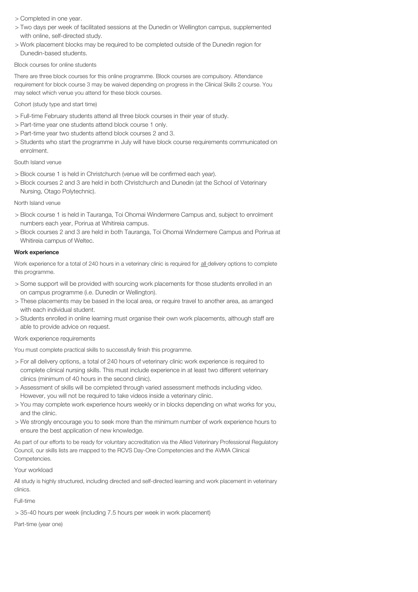#### > Completed in one year.

- > Two days per week of facilitated sessions at the Dunedin or Wellington campus, supplemented with online, self-directed study.
- > Work placement blocks may be required to be completed outside of the Dunedin region for Dunedin-based students.

### Block courses for online students

There are three block courses for this online programme. Block courses are compulsory. Attendance requirement for block course 3 may be waived depending on progress in the Clinical Skills 2 course. You may select which venue you attend for these block courses.

## Cohort (study type and start time)

- > Full-time February students attend all three block courses in their year of study.
- > Part-time year one students attend block course 1 only.
- > Part-time year two students attend block courses 2 and 3.
- > Students who start the programme in July will have block course requirements communicated on enrolment.

## South Island venue

- > Block course 1 is held in Christchurch (venue will be confirmed each year).
- > Block courses 2 and 3 are held in both Christchurch and Dunedin (at the School of Veterinary Nursing, Otago Polytechnic).

## North Island venue

- > Block course 1 is held in Tauranga, Toi Ohomai Windermere Campus and, subject to enrolment numbers each year, Porirua at Whitireia campus.
- > Block courses 2 and 3 are held in both Tauranga, Toi Ohomai Windermere Campus and Porirua at Whitireia campus of Weltec.

#### Work experience

Work experience for a total of 240 hours in a veterinary clinic is required for all delivery options to complete this programme.

- > Some support will be provided with sourcing work placements for those students enrolled in an on campus programme (i.e. Dunedin or Wellington).
- > These placements may be based in the local area, or require travel to another area, as arranged with each individual student.
- > Students enrolled in online learning must organise their own work placements, although staff are able to provide advice on request.

#### Work experience requirements

You must complete practical skills to successfully finish this programme.

- > For all delivery options, a total of 240 hours of veterinary clinic work experience is required to complete clinical nursing skills. This must include experience in at least two different veterinary clinics (minimum of 40 hours in the second clinic).
- > Assessment of skills will be completed through varied assessment methods including video. However, you will not be required to take videos inside a veterinary clinic.
- > You may complete work experience hours weekly or in blocks depending on what works for you, and the clinic.
- > We strongly encourage you to seek more than the minimum number of work experience hours to ensure the best application of new knowledge.

As part of our efforts to be ready for voluntary accreditation via the Allied Veterinary Professional Regulatory Council, our skills lists are mapped to the RCVS Day-One Competencies and the AVMA Clinical Competencies.

## Your workload

All study is highly structured, including directed and self-directed learning and work placement in veterinary clinics.

## Full-time

> 35-40 hours per week (including 7.5 hours per week in work placement)

Part-time (year one)